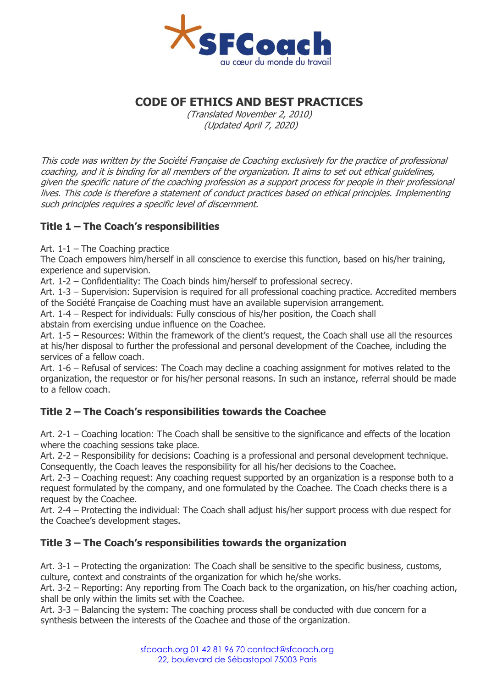

# **CODE OF ETHICS AND BEST PRACTICES**

(Translated November 2, 2010) (Updated April 7, 2020)

This code was written by the Société Française de Coaching exclusively for the practice of professional coaching, and it is binding for all members of the organization. It aims to set out ethical guidelines, given the specific nature of the coaching profession as a support process for people in their professional lives. This code is therefore a statement of conduct practices based on ethical principles. Implementing such principles requires a specific level of discernment.

## **Title 1 – The Coach's responsibilities**

Art. 1-1 – The Coaching practice

The Coach empowers him/herself in all conscience to exercise this function, based on his/her training, experience and supervision.

Art. 1-2 – Confidentiality: The Coach binds him/herself to professional secrecy.

Art. 1-3 – Supervision: Supervision is required for all professional coaching practice. Accredited members of the Société Française de Coaching must have an available supervision arrangement.

Art. 1-4 – Respect for individuals: Fully conscious of his/her position, the Coach shall

abstain from exercising undue influence on the Coachee.

Art. 1-5 – Resources: Within the framework of the client's request, the Coach shall use all the resources at his/her disposal to further the professional and personal development of the Coachee, including the services of a fellow coach.

Art. 1-6 – Refusal of services: The Coach may decline a coaching assignment for motives related to the organization, the requestor or for his/her personal reasons. In such an instance, referral should be made to a fellow coach.

## **Title 2 – The Coach's responsibilities towards the Coachee**

Art. 2-1 – Coaching location: The Coach shall be sensitive to the significance and effects of the location where the coaching sessions take place.

Art. 2-2 – Responsibility for decisions: Coaching is a professional and personal development technique. Consequently, the Coach leaves the responsibility for all his/her decisions to the Coachee.

Art. 2-3 – Coaching request: Any coaching request supported by an organization is a response both to a request formulated by the company, and one formulated by the Coachee. The Coach checks there is a request by the Coachee.

Art. 2-4 – Protecting the individual: The Coach shall adjust his/her support process with due respect for the Coachee's development stages.

## **Title 3 – The Coach's responsibilities towards the organization**

Art. 3-1 – Protecting the organization: The Coach shall be sensitive to the specific business, customs, culture, context and constraints of the organization for which he/she works.

Art. 3-2 – Reporting: Any reporting from The Coach back to the organization, on his/her coaching action, shall be only within the limits set with the Coachee.

Art. 3-3 – Balancing the system: The coaching process shall be conducted with due concern for a synthesis between the interests of the Coachee and those of the organization.